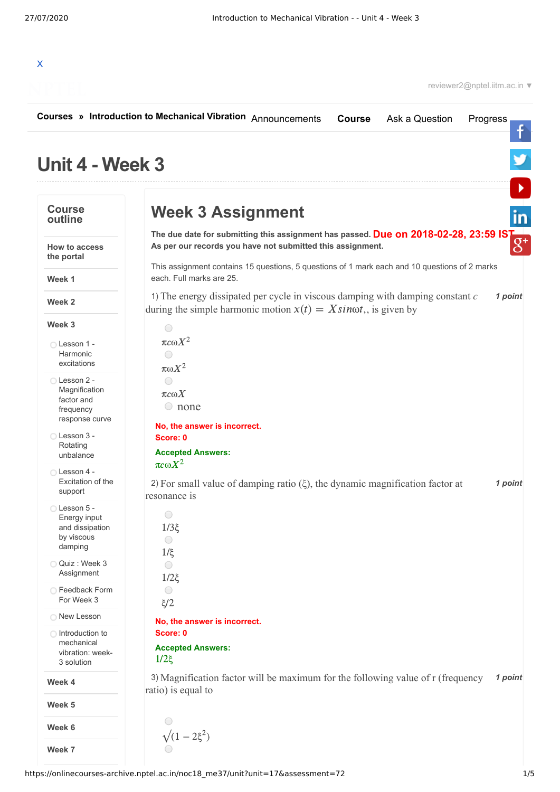

|                                                                            | Courses » Introduction to Mechanical Vibration Announcements<br>Ask a Question<br><b>Course</b><br>Progress                                                            |
|----------------------------------------------------------------------------|------------------------------------------------------------------------------------------------------------------------------------------------------------------------|
| Unit 4 - Week 3                                                            |                                                                                                                                                                        |
| <b>Course</b><br>outline                                                   | <b>Week 3 Assignment</b>                                                                                                                                               |
| <b>How to access</b><br>the portal                                         | The due date for submitting this assignment has passed. Due on 2018-02-28, 23:59 IST<br>As per our records you have not submitted this assignment.                     |
| Week 1                                                                     | This assignment contains 15 questions, 5 questions of 1 mark each and 10 questions of 2 marks<br>each. Full marks are 25.                                              |
| Week 2                                                                     | 1) The energy dissipated per cycle in viscous damping with damping constant $c$<br>1 point<br>during the simple harmonic motion $x(t) = X \sin \omega t$ , is given by |
| Week 3                                                                     | $\bigcirc$                                                                                                                                                             |
| ◯ Lesson 1 -<br>Harmonic<br>excitations                                    | $\pi c \omega X^2$<br>$\bigcirc$<br>$\pi \omega X^2$                                                                                                                   |
| ◯ Lesson 2 -<br>Magnification<br>factor and<br>frequency<br>response curve | $\bigcirc$<br>$\pi c \omega X$<br>$\circ$ none                                                                                                                         |
| ◯ Lesson 3 -<br>Rotating<br>unbalance                                      | No, the answer is incorrect.<br>Score: 0<br><b>Accepted Answers:</b>                                                                                                   |
| ◯ Lesson 4 -<br>Excitation of the<br>support                               | $\pi c \omega X^2$<br>2) For small value of damping ratio $(\xi)$ , the dynamic magnification factor at<br>1 point<br>resonance is                                     |
| ◯ Lesson 5 -<br>Energy input<br>and dissipation<br>by viscous<br>damping   | 0<br>$1/3\xi$<br>$\bigcirc$                                                                                                                                            |
| Quiz: Week 3<br>Assignment                                                 | $1/\xi$<br>$\bigcirc$<br>$1/2\xi$                                                                                                                                      |
| ◯ Feedback Form<br>For Week 3                                              | $\bigcirc$<br>$\zeta/2$                                                                                                                                                |
| O New Lesson                                                               | No, the answer is incorrect.                                                                                                                                           |
| ◯ Introduction to<br>mechanical<br>vibration: week-<br>3 solution          | Score: 0<br><b>Accepted Answers:</b><br>$1/2\xi$                                                                                                                       |
| Week 4                                                                     | 3) Magnification factor will be maximum for the following value of r (frequency<br>1 point                                                                             |
| Week 5                                                                     | ratio) is equal to                                                                                                                                                     |
| Week 6                                                                     |                                                                                                                                                                        |
| Week 7                                                                     | $\sqrt{(1-2\xi^2)}$                                                                                                                                                    |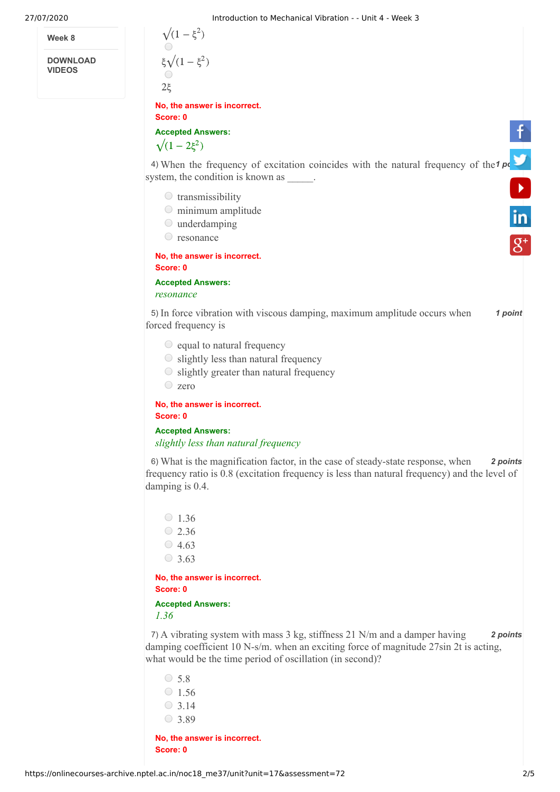**Week 8**

**DOWNLOAD VIDEOS**



*slightly less than natural frequency*

6) *2 points* What is the magnification factor, in the case of steady-state response, when frequency ratio is 0.8 (excitation frequency is less than natural frequency) and the level of damping is 0.4.

 $\circ$  1.36  $\circ$  2.36  $\circ$  4.63  $\circ$  3.63

**No, the answer is incorrect. Score: 0**

**Accepted Answers:** *1.36*

7) *2 points* A vibrating system with mass 3 kg, stiffness 21 N/m and a damper having damping coefficient 10 N-s/m. when an exciting force of magnitude 27sin 2t is acting, what would be the time period of oscillation (in second)?

- $\circ$  5.8  $\circ$  1.56  $\circ$  3.14
- $\circ$  3.89

**No, the answer is incorrect. Score: 0**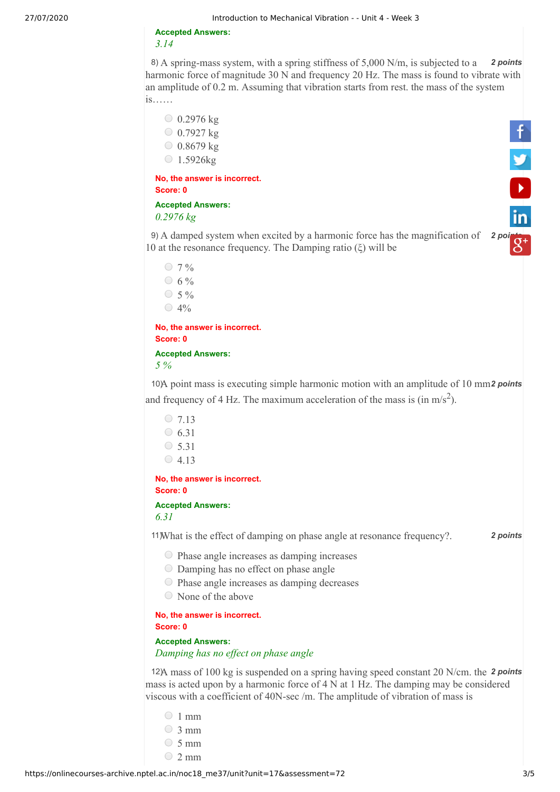**Accepted Answers:** *3.14*

8) A spring-mass system, with a spring stiffness of 5,000 N/m, is subjected to a 2 points harmonic force of magnitude 30 N and frequency 20 Hz. The mass is found to vibrate with an amplitude of 0.2 m. Assuming that vibration starts from rest. the mass of the system is……

 $0.2976$  kg  $0.7927$  kg  $0.8679$  kg  $\bigcirc$  1.5926kg

**No, the answer is incorrect. Score: 0**

**Accepted Answers:** *0.2976 kg*

9) A damped system when excited by a harmonic force has the magnification of 2 [points](https://plus.google.com/u/0/+nptelhrd) 10 at the resonance frequency. The Damping ratio (ξ) will be



 $0.7 \%$  $0.6 \%$  $\circ$  5 %  $\bigcirc$  4% **No, the answer is incorrect.**

**Score: 0 Accepted Answers:**

*5 %* 

10) A point mass is executing simple harmonic motion with an amplitude of 10 mm<sup>2</sup> points and frequency of 4 Hz. The maximum acceleration of the mass is  $(in \, m/s^2)$ .

```
\circ 7.13
\circ 6.31
\circ 5.31
\bigcirc 4.13
```
**No, the answer is incorrect. Score: 0**

**Accepted Answers:** *6.31*

11) *2 points* What is the effect of damping on phase angle at resonance frequency?.

- Phase angle increases as damping increases
- Damping has no effect on phase angle
- Phase angle increases as damping decreases
- None of the above

**No, the answer is incorrect. Score: 0**

**Accepted Answers:** *Damping has no effect on phase angle* 

12) A mass of 100 kg is suspended on a spring having speed constant 20 N/cm. the 2 points mass is acted upon by a harmonic force of 4 N at 1 Hz. The damping may be considered viscous with a coefficient of 40N-sec /m. The amplitude of vibration of mass is

- $\circ$  1 mm
- $\circ$  3 mm
- $\circ$  5 mm
- $\degree$  2 mm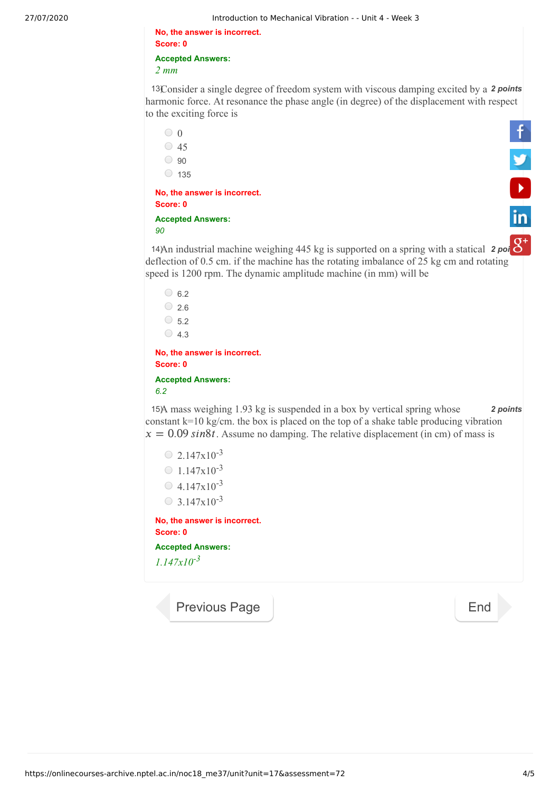**No, the answer is incorrect. Score: 0**

**Accepted Answers:**

*2 mm*

13Consider a single degree of freedom system with viscous damping excited by a 2 points harmonic force. At resonance the phase angle (in degree) of the displacement with respect to the exciting force is

| to the exeming force to                                                                                                                                                                                                                                          |                |
|------------------------------------------------------------------------------------------------------------------------------------------------------------------------------------------------------------------------------------------------------------------|----------------|
| $\circ$ 0                                                                                                                                                                                                                                                        |                |
| $\circ$ 45                                                                                                                                                                                                                                                       |                |
| $\circ$ 90                                                                                                                                                                                                                                                       |                |
| $\circ$ 135                                                                                                                                                                                                                                                      |                |
| No, the answer is incorrect.<br>Score: 0                                                                                                                                                                                                                         | $\frac{9}{10}$ |
|                                                                                                                                                                                                                                                                  |                |
| <b>Accepted Answers:</b><br>90                                                                                                                                                                                                                                   |                |
| 14An industrial machine weighing 445 kg is supported on a spring with a statical $2 \text{ pol}$<br>deflection of 0.5 cm. if the machine has the rotating imbalance of 25 kg cm and rotating<br>speed is 1200 rpm. The dynamic amplitude machine (in mm) will be |                |
| $\circ$ 6.2                                                                                                                                                                                                                                                      |                |
| $\degree$ 2.6                                                                                                                                                                                                                                                    |                |
| $\circ$ 5.2                                                                                                                                                                                                                                                      |                |
| $\circ$ 4.3                                                                                                                                                                                                                                                      |                |
| No, the answer is incorrect.<br>Score: 0                                                                                                                                                                                                                         |                |
| <b>Accepted Answers:</b><br>6.2                                                                                                                                                                                                                                  |                |
| 15A mass weighing 1.93 kg is suspended in a box by vertical spring whose<br>constant $k=10$ kg/cm. the box is placed on the top of a shake table producing vibration<br>$x = 0.09 \sin 8t$ . Assume no damping. The relative displacement (in cm) of mass is     | 2 points       |
| $\circ$ 2.147x10 <sup>-3</sup>                                                                                                                                                                                                                                   |                |
| $\bigcirc$ 1.147x10 <sup>-3</sup>                                                                                                                                                                                                                                |                |
| $\circ$ 4.147x10 <sup>-3</sup>                                                                                                                                                                                                                                   |                |
| $\circ$ 3.147x10 <sup>-3</sup>                                                                                                                                                                                                                                   |                |
|                                                                                                                                                                                                                                                                  |                |
| No, the answer is incorrect.<br>Score: 0                                                                                                                                                                                                                         |                |
| <b>Accepted Answers:</b>                                                                                                                                                                                                                                         |                |
| $1.147x10^{-3}$                                                                                                                                                                                                                                                  |                |
|                                                                                                                                                                                                                                                                  |                |
|                                                                                                                                                                                                                                                                  |                |
| <b>Previous Page</b>                                                                                                                                                                                                                                             | End            |